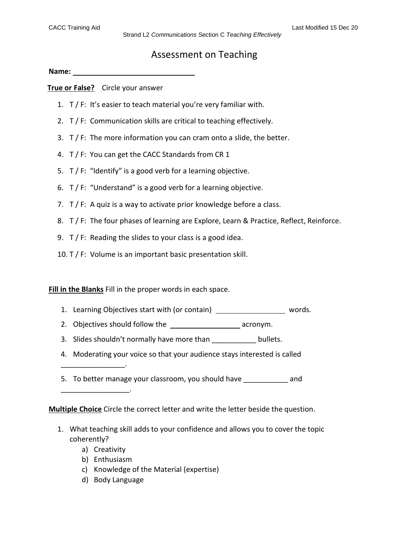## Assessment on Teaching

**Name:**

**True or False?** Circle your answer

- 1. T / F: It's easier to teach material you're very familiar with.
- 2. T / F: Communication skills are critical to teaching effectively.
- 3. T / F: The more information you can cram onto a slide, the better.
- 4. T / F: You can get the CACC Standards from CR 1
- 5. T / F: "Identify" is a good verb for a learning objective.
- 6. T / F: "Understand" is a good verb for a learning objective.
- 7.  $T / F$ : A quiz is a way to activate prior knowledge before a class.
- 8. T / F: The four phases of learning are Explore, Learn & Practice, Reflect, Reinforce.
- 9. T / F: Reading the slides to your class is a good idea.
- 10. T / F: Volume is an important basic presentation skill.

**Fill in the Blanks** Fill in the proper words in each space.

- 1. Learning Objectives start with (or contain) \_\_\_\_\_\_\_\_\_\_\_\_\_\_\_\_\_\_\_\_ words.
- 2. Objectives should follow the **contained acrontation** acronym.
- 3. Slides shouldn't normally have more than \_\_\_\_\_\_\_\_\_\_\_\_\_ bullets.
- 4. Moderating your voice so that your audience stays interested is called
- 5. To better manage your classroom, you should have and

**Multiple Choice** Circle the correct letter and write the letter beside the question.

- 1. What teaching skill adds to your confidence and allows you to cover the topic coherently?
	- a) Creativity

\_\_\_\_\_\_\_\_\_\_\_\_\_\_\_\_.

\_\_\_\_\_\_\_\_\_\_\_\_\_\_\_\_\_.

- b) Enthusiasm
- c) Knowledge of the Material (expertise)
- d) Body Language